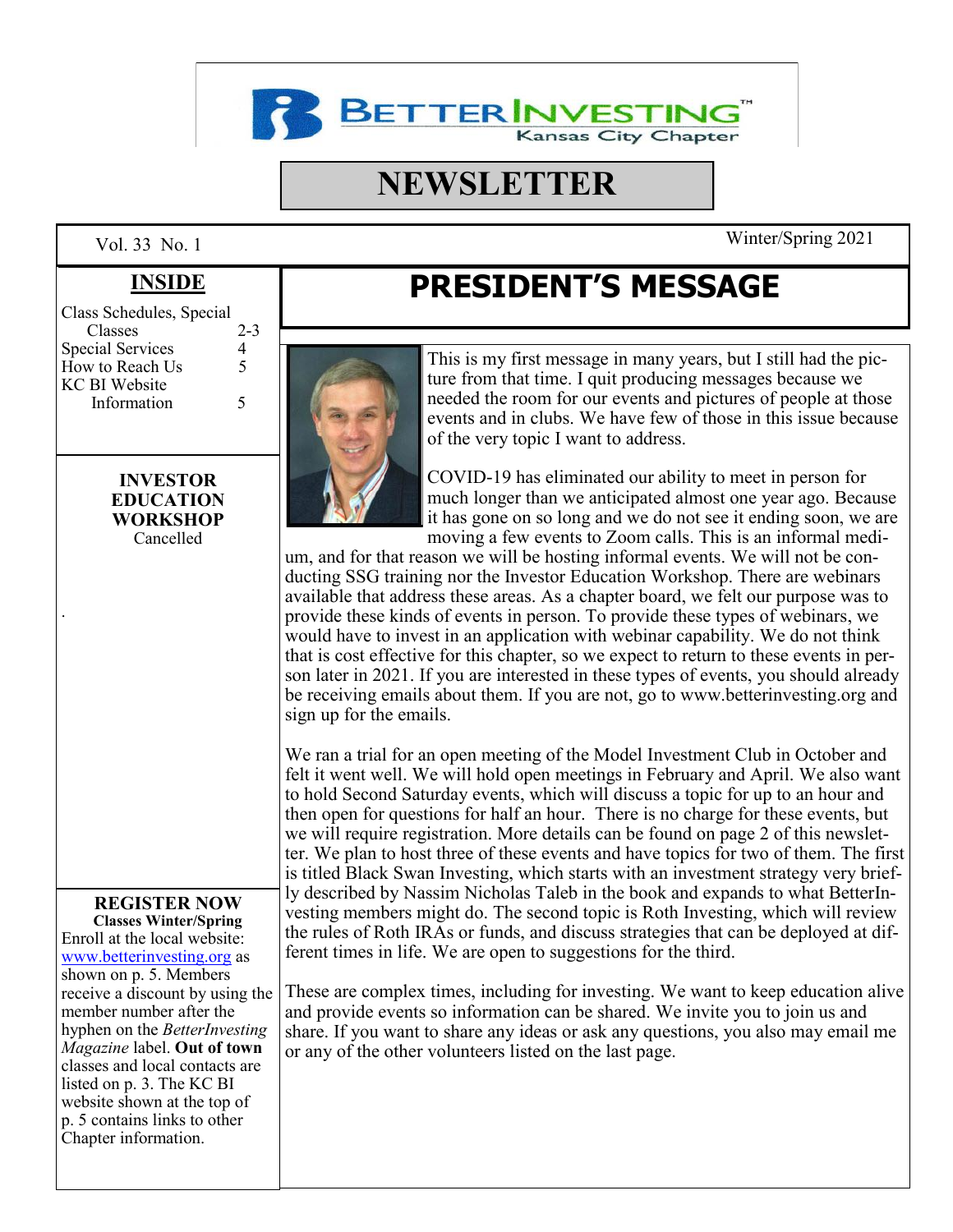

# **NEWSLETTER**

| Class Schedules, Special |         |
|--------------------------|---------|
| Classes                  | $2 - 3$ |
| Special Services         | 4       |
| How to Reach Us          | 5       |
| <b>KC BI Website</b>     |         |
| Information              | 5       |

#### **INVESTOR EDUCATION WORKSHOP** Cancelle[d](http://www.betterinvesting.org)

.

# **REGISTER NOW**

**Classes Winter/Spring** Enroll at the local website: [www.betterinvesting.org](http://www.betterinvesting.org) as shown on p. 5. Members receive a discount by using the member number after the hyphen on the *BetterInvesting Magazine* label. **Out of town**  classes and local contacts are listed on p. 3. The KC BI website shown at the top of p. 5 contains links to other Chapter information.

# **INSIDE PRESIDENT'S MESSAGE**



This is my first message in many years, but I still had the picture from that time. I quit producing messages because we needed the room for our events and pictures of people at those events and in clubs. We have few of those in this issue because of the very topic I want to address.

COVID-19 has eliminated our ability to meet in person for much longer than we anticipated almost one year ago. Because it has gone on so long and we do not see it ending soon, we are moving a few events to Zoom calls. This is an informal medi-

um, and for that reason we will be hosting informal events. We will not be conducting SSG training nor the Investor Education Workshop. There are webinars available that address these areas. As a chapter board, we felt our purpose was to provide these kinds of events in person. To provide these types of webinars, we would have to invest in an application with webinar capability. We do not think that is cost effective for this chapter, so we expect to return to these events in person later in 2021. If you are interested in these types of events, you should already be receiving emails about them. If you are not, go to www.betterinvesting.org and sign up for the emails.

We ran a trial for an open meeting of the Model Investment Club in October and felt it went well. We will hold open meetings in February and April. We also want to hold Second Saturday events, which will discuss a topic for up to an hour and then open for questions for half an hour. There is no charge for these events, but we will require registration. More details can be found on page 2 of this newsletter. We plan to host three of these events and have topics for two of them. The first is titled Black Swan Investing, which starts with an investment strategy very briefly described by Nassim Nicholas Taleb in the book and expands to what BetterInvesting members might do. The second topic is Roth Investing, which will review the rules of Roth IRAs or funds, and discuss strategies that can be deployed at different times in life. We are open to suggestions for the third.

These are complex times, including for investing. We want to keep education alive and provide events so information can be shared. We invite you to join us and share. If you want to share any ideas or ask any questions, you also may email me or any of the other volunteers listed on the last page.

Vol. 33 No. 1 Winter/Spring 2021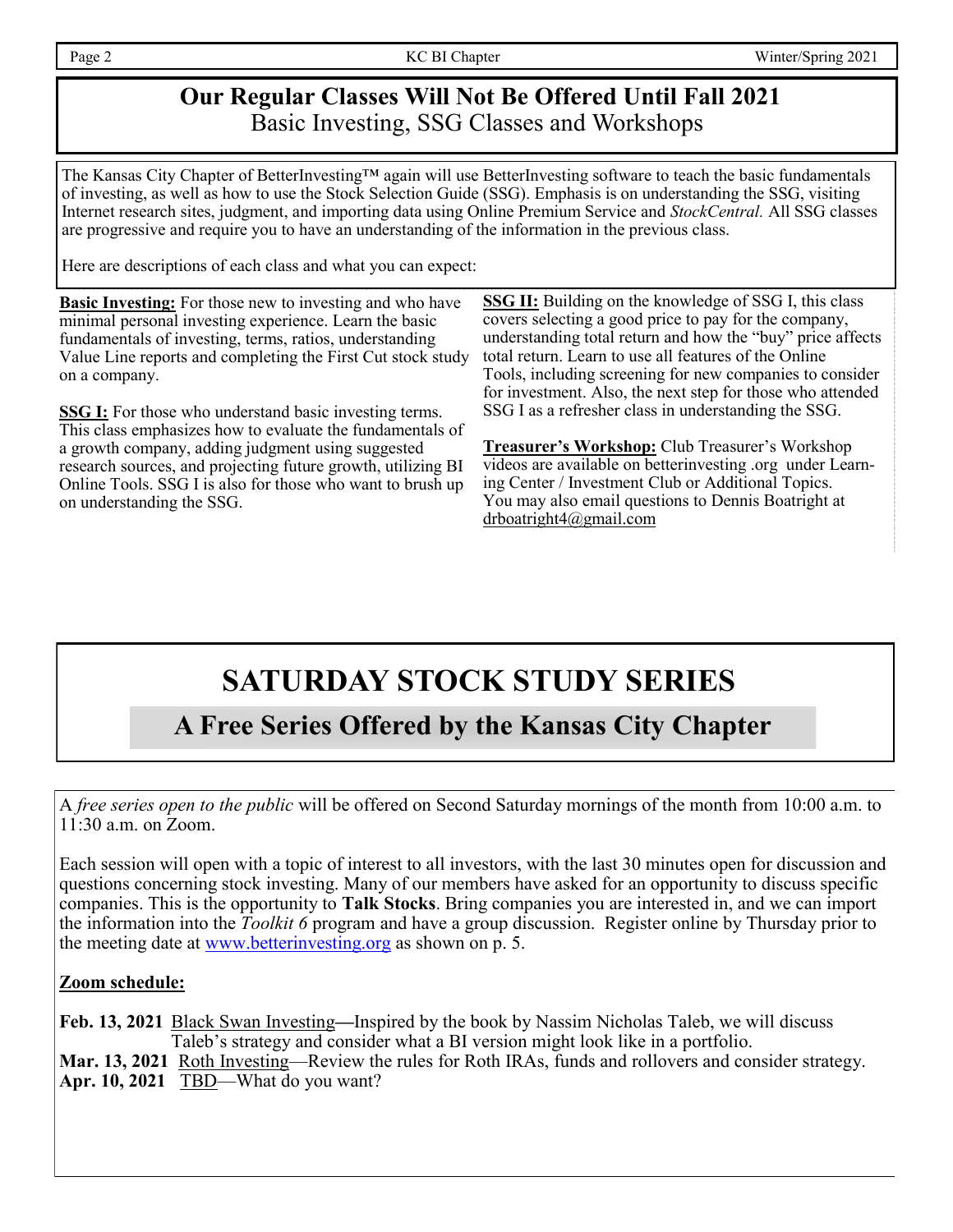# **Our Regular Classes Will Not Be Offered Until Fall 2021** Basic Investing, SSG Classes and Workshops

The Kansas City Chapter of BetterInvesting™ again will use BetterInvesting software to teach the basic fundamentals of investing, as well as how to use the Stock Selection Guide (SSG). Emphasis is on understanding the SSG, visiting Internet research sites, judgment, and importing data using Online Premium Service and *StockCentral.* All SSG classes are progressive and require you to have an understanding of the information in the previous class.

Here are descriptions of each class and what you can expect:

**Basic Investing:** For those new to investing and who have minimal personal investing experience. Learn the basic fundamentals of investing, terms, ratios, understanding Value Line reports and completing the First Cut stock study on a company.

**SSG I:** For those who understand basic investing terms. This class emphasizes how to evaluate the fundamentals of a growth company, adding judgment using suggested research sources, and projecting future growth, utilizing BI Online Tools. SSG I is also for those who want to brush up on understanding the SSG.

**SSG II:** Building on the knowledge of SSG I, this class covers selecting a good price to pay for the company, understanding total return and how the "buy" price affects total return. Learn to use all features of the Online Tools, including screening for new companies to consider for investment. Also, the next step for those who attended SSG I as a refresher class in understanding the SSG.

**Treasurer's Workshop:** Club Treasurer's Workshop videos are available on betterinvesting .org under Learning Center / Investment Club or Additional Topics. You may also email questions to Dennis Boatright at drboatright4@gmail.com

# **SATURDAY STOCK STUDY SERIES**

# **A Free Series Offered by the Kansas City Chapter**

A *free series open to the public* will be offered on Second Saturday mornings of the month from 10:00 a.m. to 11:30 a.m. on Zoom.

Each session will open with a topic of interest to all investors, with the last 30 minutes open for discussion and questions concerning stock investing. Many of our members have asked for an opportunity to discuss specific companies. This is the opportunity to **Talk Stocks**. Bring companies you are interested in, and we can import the information into the *Toolkit 6* program and have a group discussion. Register online by Thursday prior to the meeting date at [www.betterinvesting.org](http://www.betterinvesting.org/) as shown on p. 5.

#### **Zoom schedule:**

**Feb. 13, 2021** Black Swan Investing**—**Inspired by the book by Nassim Nicholas Taleb, we will discuss Taleb's strategy and consider what a BI version might look like in a portfolio. **Mar. 13, 2021** Roth Investing—Review the rules for Roth IRAs, funds and rollovers and consider strategy. **Apr. 10, 2021 TBD**—What do you want?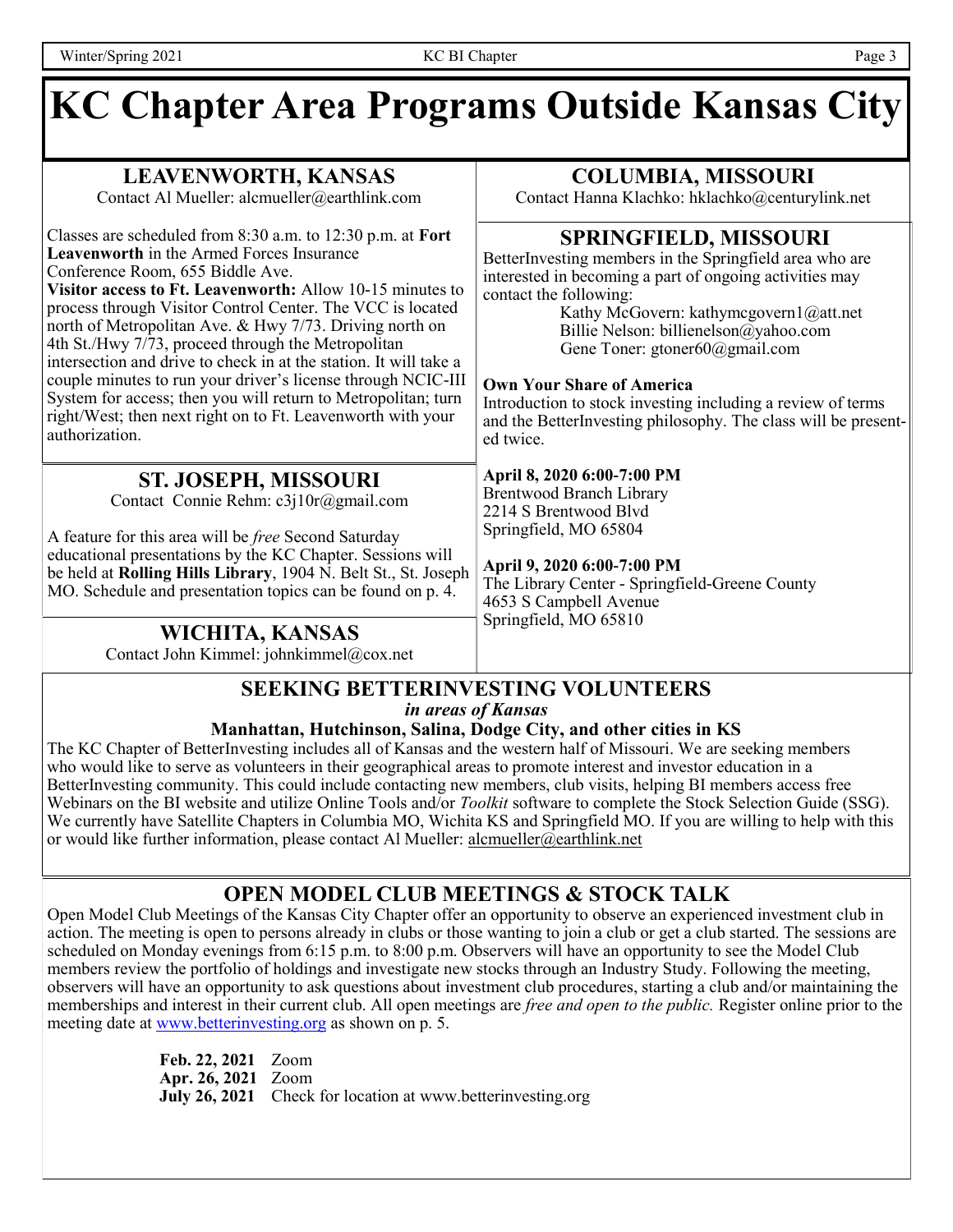#### **KC Chapter Area Programs Outside Kansas City LEAVENWORTH, KANSAS** Contact Al Mueller: alcmueller@earthlink.com Classes are scheduled from 8:30 a.m. to 12:30 p.m. at **Fort Leavenworth** in the Armed Forces Insurance Conference Room, 655 Biddle Ave. **Visitor access to Ft. Leavenworth:** Allow 10-15 minutes to process through Visitor Control Center. The VCC is located north of Metropolitan Ave. & Hwy 7/73. Driving north on 4th St./Hwy 7/73, proceed through the Metropolitan intersection and drive to check in at the station. It will take a couple minutes to run your driver's license through NCIC-III System for access; then you will return to Metropolitan; turn right/West; then next right on to Ft. Leavenworth with your authorization. **COLUMBIA, MISSOURI** Contact Hanna Klachko: hklachko@centurylink.net **ST. JOSEPH, MISSOURI** Contact Connie Rehm: c3j10r@gmail.com A feature for this area will be *free* Second Saturday educational presentations by the KC Chapter. Sessions will be held at **Rolling Hills Library**, 1904 N. Belt St., St. Joseph MO. Schedule and presentation topics can be found on p. 4. **SPRINGFIELD, MISSOURI** BetterInvesting members in the Springfield area who are interested in becoming a part of ongoing activities may contact the following: Kathy McGovern: kathymcgovern1@att.net Billie Nelson: billienelson@yahoo.com Gene Toner: gtoner60@gmail.com **Own Your Share of America** Introduction to stock investing including a review of terms and the BetterInvesting philosophy. The class will be presented twice. **April 8, 2020 6:00-7:00 PM** Brentwood Branch Library 2214 S Brentwood Blvd Springfield, MO 65804 **April 9, 2020 6:00-7:00 PM** The Library Center - Springfield-Greene County 4653 S Campbell Avenue Springfield, MO 65810 **WICHITA, KANSAS** Contact John Kimmel: johnkimmel@cox.net

#### **SEEKING BETTERINVESTING VOLUNTEERS** *in areas of Kansas*

#### **Manhattan, Hutchinson, Salina, Dodge City, and other cities in KS**

The KC Chapter of BetterInvesting includes all of Kansas and the western half of Missouri. We are seeking members who would like to serve as volunteers in their geographical areas to promote interest and investor education in a BetterInvesting community. This could include contacting new members, club visits, helping BI members access free Webinars on the BI website and utilize Online Tools and/or *Toolkit* software to complete the Stock Selection Guide (SSG). We currently have Satellite Chapters in Columbia MO, Wichita KS and Springfield MO. If you are willing to help with this or would like further information, please contact Al Mueller: alcmueller@earthlink.net

### **OPEN MODEL CLUB MEETINGS & STOCK TALK**

Open Model Club Meetings of the Kansas City Chapter offer an opportunity to observe an experienced investment club in action. The meeting is open to persons already in clubs or those wanting to join a club or get a club started. The sessions are scheduled on Monday evenings from 6:15 p.m. to 8:00 p.m. Observers will have an opportunity to see the Model Club members review the portfolio of holdings and investigate new stocks through an Industry Study. Following the meeting, observers will have an opportunity to ask questions about investment club procedures, starting a club and/or maintaining the memberships and interest in their current club. All open meetings are *free and open to the public.* Register online prior to the meeting date at [www.betterinvesting.org](http://www.betterinvesting.org/) as shown on p. 5.

> **Feb. 22, 2021** Zoom **Apr. 26, 2021** Zoom **July 26, 2021** Check for location at www.betterinvesting.org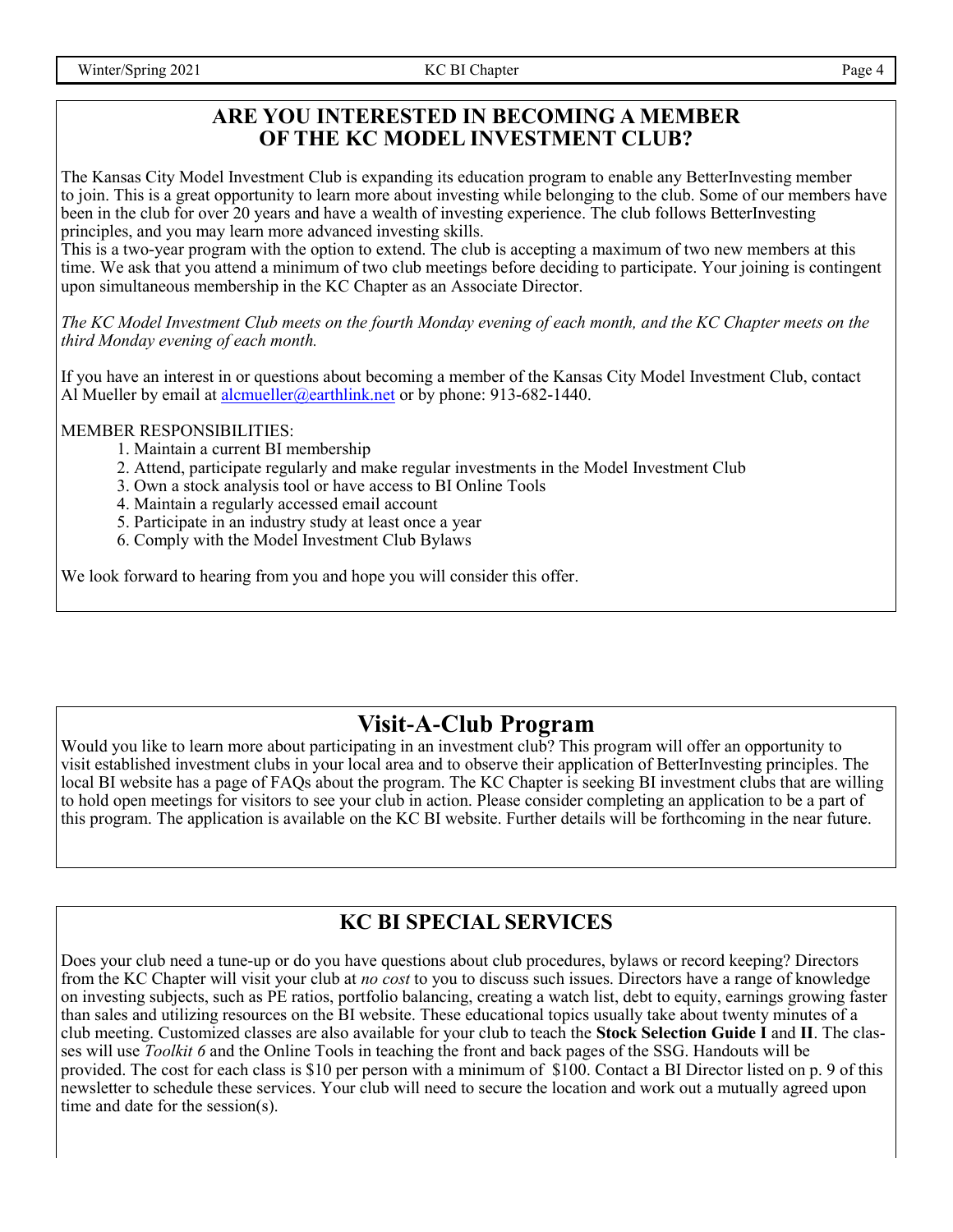#### **ARE YOU INTERESTED IN BECOMING A MEMBER OF THE KC MODEL INVESTMENT CLUB?**

The Kansas City Model Investment Club is expanding its education program to enable any BetterInvesting member to join. This is a great opportunity to learn more about investing while belonging to the club. Some of our members have been in the club for over 20 years and have a wealth of investing experience. The club follows BetterInvesting principles, and you may learn more advanced investing skills.

This is a two-year program with the option to extend. The club is accepting a maximum of two new members at this time. We ask that you attend a minimum of two club meetings before deciding to participate. Your joining is contingent upon simultaneous membership in the KC Chapter as an Associate Director.

*The KC Model Investment Club meets on the fourth Monday evening of each month, and the KC Chapter meets on the third Monday evening of each month.*

If you have an interest in or questions about becoming a member of the Kansas City Model Investment Club, contact Al Mueller by email at [alcmueller@earthlink.net](mailto:alcmueller@earthlink.net) or by phone:  $913-682-1440$ .

#### MEMBER RESPONSIBILITIES:

- 1. Maintain a current BI membership
- 2. Attend, participate regularly and make regular investments in the Model Investment Club
- 3. Own a stock analysis tool or have access to BI Online Tools
- 4. Maintain a regularly accessed email account
- 5. Participate in an industry study at least once a year
- 6. Comply with the Model Investment Club Bylaws

We look forward to hearing from you and hope you will consider this offer.

### **Visit-A-Club Program**

Would you like to learn more about participating in an investment club? This program will offer an opportunity to visit established investment clubs in your local area and to observe their application of BetterInvesting principles. The local BI website has a page of FAQs about the program. The KC Chapter is seeking BI investment clubs that are willing to hold open meetings for visitors to see your club in action. Please consider completing an application to be a part of this program. The application is available on the KC BI website. Further details will be forthcoming in the near future.

# **KC BI SPECIAL SERVICES**

Does your club need a tune-up or do you have questions about club procedures, bylaws or record keeping? Directors from the KC Chapter will visit your club at *no cost* to you to discuss such issues. Directors have a range of knowledge on investing subjects, such as PE ratios, portfolio balancing, creating a watch list, debt to equity, earnings growing faster than sales and utilizing resources on the BI website. These educational topics usually take about twenty minutes of a club meeting. Customized classes are also available for your club to teach the **Stock Selection Guide I** and **II**. The classes will use *Toolkit 6* and the Online Tools in teaching the front and back pages of the SSG. Handouts will be provided. The cost for each class is \$10 per person with a minimum of \$100. Contact a BI Director listed on p. 9 of this newsletter to schedule these services. Your club will need to secure the location and work out a mutually agreed upon time and date for the session(s).